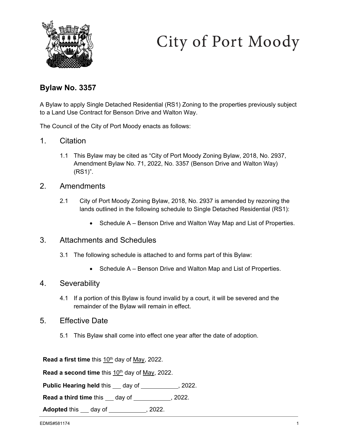

## City of Port Moody

## **Bylaw No. 3357**

A Bylaw to apply Single Detached Residential (RS1) Zoning to the properties previously subject to a Land Use Contract for Benson Drive and Walton Way.

The Council of the City of Port Moody enacts as follows:

- 1. Citation
	- 1.1 This Bylaw may be cited as "City of Port Moody Zoning Bylaw, 2018, No. 2937, Amendment Bylaw No. 71, 2022, No. 3357 (Benson Drive and Walton Way) (RS1)".
- 2. Amendments
	- 2.1 City of Port Moody Zoning Bylaw, 2018, No. 2937 is amended by rezoning the lands outlined in the following schedule to Single Detached Residential (RS1):
		- Schedule A Benson Drive and Walton Way Map and List of Properties.
- 3. Attachments and Schedules
	- 3.1 The following schedule is attached to and forms part of this Bylaw:
		- Schedule A Benson Drive and Walton Map and List of Properties.

## 4. Severability

- 4.1 If a portion of this Bylaw is found invalid by a court, it will be severed and the remainder of the Bylaw will remain in effect.
- 5. Effective Date
	- 5.1 This Bylaw shall come into effect one year after the date of adoption.

**Read a first time** this 10th day of May, 2022.

**Read a second time** this 10<sup>th</sup> day of May, 2022.

**Public Hearing held this \_\_ day of \_\_\_\_\_\_\_\_\_\_, 2022.** 

**Read a third time** this \_\_\_ day of \_\_\_\_\_\_\_\_\_\_\_, 2022.

**Adopted** this <u>day of section of the section</u>, 2022.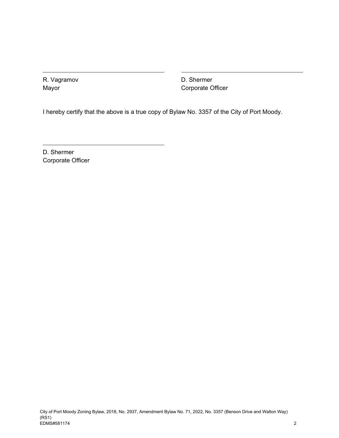R. Vagramov Mayor

D. Shermer Corporate Officer

I hereby certify that the above is a true copy of Bylaw No. 3357 of the City of Port Moody.

D. Shermer Corporate Officer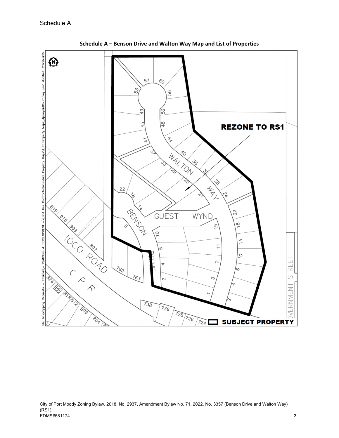

**Schedule A – Benson Drive and Walton Way Map and List of Properties**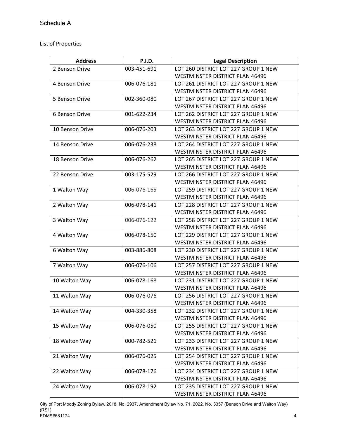## List of Properties

| <b>Address</b>  | <b>P.I.D.</b> | <b>Legal Description</b>               |
|-----------------|---------------|----------------------------------------|
| 2 Benson Drive  | 003-451-691   | LOT 260 DISTRICT LOT 227 GROUP 1 NEW   |
|                 |               | <b>WESTMINSTER DISTRICT PLAN 46496</b> |
| 4 Benson Drive  | 006-076-181   | LOT 261 DISTRICT LOT 227 GROUP 1 NEW   |
|                 |               | WESTMINSTER DISTRICT PLAN 46496        |
| 5 Benson Drive  | 002-360-080   | LOT 267 DISTRICT LOT 227 GROUP 1 NEW   |
|                 |               | WESTMINSTER DISTRICT PLAN 46496        |
| 6 Benson Drive  | 001-622-234   | LOT 262 DISTRICT LOT 227 GROUP 1 NEW   |
|                 |               | WESTMINSTER DISTRICT PLAN 46496        |
| 10 Benson Drive | 006-076-203   | LOT 263 DISTRICT LOT 227 GROUP 1 NEW   |
|                 |               | WESTMINSTER DISTRICT PLAN 46496        |
| 14 Benson Drive | 006-076-238   | LOT 264 DISTRICT LOT 227 GROUP 1 NEW   |
|                 |               | WESTMINSTER DISTRICT PLAN 46496        |
| 18 Benson Drive | 006-076-262   | LOT 265 DISTRICT LOT 227 GROUP 1 NEW   |
|                 |               | WESTMINSTER DISTRICT PLAN 46496        |
| 22 Benson Drive | 003-175-529   | LOT 266 DISTRICT LOT 227 GROUP 1 NEW   |
|                 |               | WESTMINSTER DISTRICT PLAN 46496        |
| 1 Walton Way    | 006-076-165   | LOT 259 DISTRICT LOT 227 GROUP 1 NEW   |
|                 |               | WESTMINSTER DISTRICT PLAN 46496        |
| 2 Walton Way    | 006-078-141   | LOT 228 DISTRICT LOT 227 GROUP 1 NEW   |
|                 |               | WESTMINSTER DISTRICT PLAN 46496        |
| 3 Walton Way    | 006-076-122   | LOT 258 DISTRICT LOT 227 GROUP 1 NEW   |
|                 |               | WESTMINSTER DISTRICT PLAN 46496        |
| 4 Walton Way    | 006-078-150   | LOT 229 DISTRICT LOT 227 GROUP 1 NEW   |
|                 |               | WESTMINSTER DISTRICT PLAN 46496        |
| 6 Walton Way    | 003-886-808   | LOT 230 DISTRICT LOT 227 GROUP 1 NEW   |
|                 |               | WESTMINSTER DISTRICT PLAN 46496        |
| 7 Walton Way    | 006-076-106   | LOT 257 DISTRICT LOT 227 GROUP 1 NEW   |
|                 |               | <b>WESTMINSTER DISTRICT PLAN 46496</b> |
| 10 Walton Way   | 006-078-168   | LOT 231 DISTRICT LOT 227 GROUP 1 NEW   |
|                 |               | WESTMINSTER DISTRICT PLAN 46496        |
| 11 Walton Way   | 006-076-076   | LOT 256 DISTRICT LOT 227 GROUP 1 NEW   |
|                 |               | WESTMINSTER DISTRICT PLAN 46496        |
| 14 Walton Way   | 004-330-358   | LOT 232 DISTRICT LOT 227 GROUP 1 NEW   |
|                 |               | WESTMINSTER DISTRICT PLAN 46496        |
| 15 Walton Way   | 006-076-050   | LOT 255 DISTRICT LOT 227 GROUP 1 NEW   |
|                 |               | <b>WESTMINSTER DISTRICT PLAN 46496</b> |
| 18 Walton Way   | 000-782-521   | LOT 233 DISTRICT LOT 227 GROUP 1 NEW   |
|                 |               | <b>WESTMINSTER DISTRICT PLAN 46496</b> |
| 21 Walton Way   | 006-076-025   | LOT 254 DISTRICT LOT 227 GROUP 1 NEW   |
|                 |               | WESTMINSTER DISTRICT PLAN 46496        |
| 22 Walton Way   | 006-078-176   | LOT 234 DISTRICT LOT 227 GROUP 1 NEW   |
|                 |               | WESTMINSTER DISTRICT PLAN 46496        |
| 24 Walton Way   | 006-078-192   | LOT 235 DISTRICT LOT 227 GROUP 1 NEW   |
|                 |               | WESTMINSTER DISTRICT PLAN 46496        |